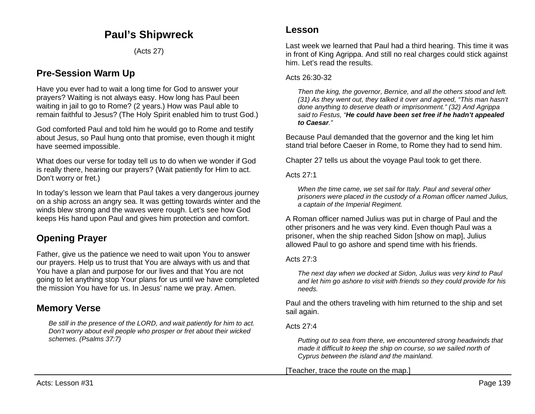# **Paul's Shipwreck**

(Acts 27)

## **Pre-Session Warm Up**

Have you ever had to wait a long time for God to answer your prayers? Waiting is not always easy. How long has Paul been waiting in jail to go to Rome? (2 years.) How was Paul able to remain faithful to Jesus? (The Holy Spirit enabled him to trust God.)

God comforted Paul and told him he would go to Rome and testify about Jesus, so Paul hung onto that promise, even though it might have seemed impossible.

What does our verse for today tell us to do when we wonder if God is really there, hearing our prayers? (Wait patiently for Him to act. Don't worry or fret.)

In today's lesson we learn that Paul takes a very dangerous journey on a ship across an angry sea. It was getting towards winter and the winds blew strong and the waves were rough. Let's see how God keeps His hand upon Paul and gives him protection and comfort.

# **Opening Prayer**

Father, give us the patience we need to wait upon You to answer our prayers. Help us to trust that You are always with us and that You have a plan and purpose for our lives and that You are not going to let anything stop Your plans for us until we have completed the mission You have for us. In Jesus' name we pray. Amen.

## **Memory Verse**

*Be still in the presence of the LORD, and wait patiently for him to act. Don't worry about evil people who prosper or fret about their wicked schemes. (Psalms 37:7)*

## **Lesson**

Last week we learned that Paul had a third hearing. This time it was in front of King Agrippa. And still no real charges could stick against him. Let's read the results.

### Acts 26:30-32

*Then the king, the governor, Bernice, and all the others stood and left. (31) As they went out, they talked it over and agreed, "This man hasn't done anything to deserve death or imprisonment." (32) And Agrippa said to Festus, "He could have been set free if he hadn't appealed to Caesar."*

Because Paul demanded that the governor and the king let him stand trial before Caeser in Rome, to Rome they had to send him.

Chapter 27 tells us about the voyage Paul took to get there.

Acts 27:1

*When the time came, we set sail for Italy. Paul and several other prisoners were placed in the custody of a Roman officer named Julius, a captain of the Imperial Regiment.*

A Roman officer named Julius was put in charge of Paul and the other prisoners and he was very kind. Even though Paul was a prisoner, when the ship reached Sidon [show on map], Julius allowed Paul to go ashore and spend time with his friends.

## Acts  $27:3$

*The next day when we docked at Sidon, Julius was very kind to Paul and let him go ashore to visit with friends so they could provide for his needs.*

Paul and the others traveling with him returned to the ship and set sail again.

## Acts 27:4

*Putting out to sea from there, we encountered strong headwinds that made it difficult to keep the ship on course, so we sailed north of Cyprus between the island and the mainland.*

[Teacher, trace the route on the map.]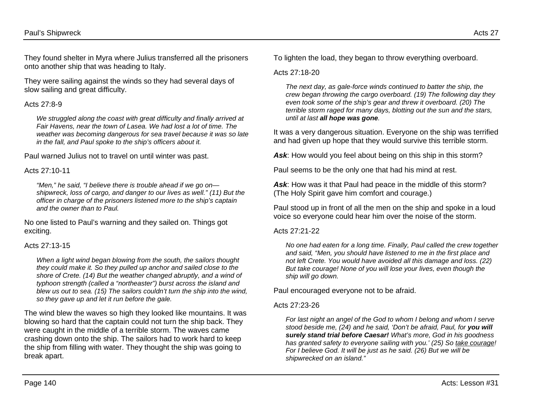They found shelter in Myra where Julius transferred all the prisoners onto another ship that was heading to Italy.

They were sailing against the winds so they had several days of slow sailing and great difficulty.

## Acts 27:8-9

*We struggled along the coast with great difficulty and finally arrived at Fair Havens, near the town of Lasea. We had lost a lot of time. The weather was becoming dangerous for sea travel because it was so late in the fall, and Paul spoke to the ship's officers about it.*

Paul warned Julius not to travel on until winter was past.

## Acts 27:10-11

*"Men," he said, "I believe there is trouble ahead if we go on shipwreck, loss of cargo, and danger to our lives as well." (11) But the officer in charge of the prisoners listened more to the ship's captain and the owner than to Paul.*

No one listed to Paul's warning and they sailed on. Things got exciting.

## Acts 27:13-15

*When a light wind began blowing from the south, the sailors thought they could make it. So they pulled up anchor and sailed close to the shore of Crete. (14) But the weather changed abruptly, and a wind of typhoon strength (called a "northeaster") burst across the island and blew us out to sea. (15) The sailors couldn't turn the ship into the wind, so they gave up and let it run before the gale.*

The wind blew the waves so high they looked like mountains. It was blowing so hard that the captain could not turn the ship back. They were caught in the middle of a terrible storm. The waves came crashing down onto the ship. The sailors had to work hard to keep the ship from filling with water. They thought the ship was going to break apart.

To lighten the load, they began to throw everything overboard.

## Acts 27:18-20

*The next day, as gale-force winds continued to batter the ship, the crew began throwing the cargo overboard. (19) The following day they even took some of the ship's gear and threw it overboard. (20) The terrible storm raged for many days, blotting out the sun and the stars, until at last all hope was gone.*

It was a very dangerous situation. Everyone on the ship was terrified and had given up hope that they would survive this terrible storm.

Ask: How would you feel about being on this ship in this storm?

Paul seems to be the only one that had his mind at rest.

*Ask*: How was it that Paul had peace in the middle of this storm? (The Holy Spirit gave him comfort and courage.)

Paul stood up in front of all the men on the ship and spoke in a loud voice so everyone could hear him over the noise of the storm.

## Acts 27:21-22

*No one had eaten for a long time. Finally, Paul called the crew together and said, "Men, you should have listened to me in the first place and not left Crete. You would have avoided all this damage and loss. (22) But take courage! None of you will lose your lives, even though the ship will go down.* 

Paul encouraged everyone not to be afraid.

## Acts 27:23-26

*For last night an angel of the God to whom I belong and whom I serve stood beside me, (24) and he said, 'Don't be afraid, Paul, for you will surely stand trial before Caesar! What's more, God in his goodness has granted safety to everyone sailing with you.' (25) So take courage! For I believe God. It will be just as he said. (26) But we will be shipwrecked on an island."*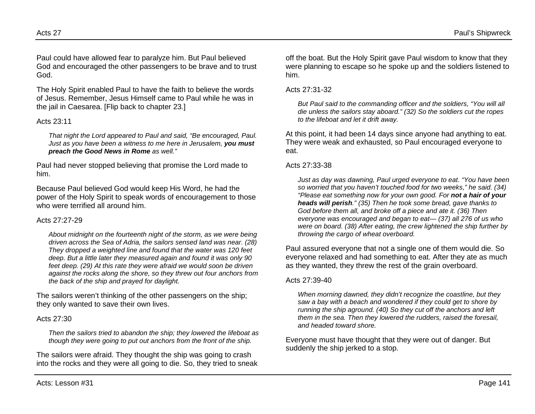Paul could have allowed fear to paralyze him. But Paul believed God and encouraged the other passengers to be brave and to trust God.

The Holy Spirit enabled Paul to have the faith to believe the words of Jesus. Remember, Jesus Himself came to Paul while he was in the jail in Caesarea. [Flip back to chapter 23.]

## Acts 23:11

*That night the Lord appeared to Paul and said, "Be encouraged, Paul. Just as you have been a witness to me here in Jerusalem, you must preach the Good News in Rome as well."*

Paul had never stopped believing that promise the Lord made to him.

Because Paul believed God would keep His Word, he had the power of the Holy Spirit to speak words of encouragement to those who were terrified all around him.

#### Acts 27:27-29

*About midnight on the fourteenth night of the storm, as we were being driven across the Sea of Adria, the sailors sensed land was near. (28) They dropped a weighted line and found that the water was 120 feet deep. But a little later they measured again and found it was only 90 feet deep. (29) At this rate they were afraid we would soon be driven against the rocks along the shore, so they threw out four anchors from the back of the ship and prayed for daylight.*

The sailors weren't thinking of the other passengers on the ship; they only wanted to save their own lives.

## Acts 27:30

*Then the sailors tried to abandon the ship; they lowered the lifeboat as though they were going to put out anchors from the front of the ship.*

The sailors were afraid. They thought the ship was going to crash into the rocks and they were all going to die. So, they tried to sneak off the boat. But the Holy Spirit gave Paul wisdom to know that they were planning to escape so he spoke up and the soldiers listened to him.

### Acts 27:31-32

*But Paul said to the commanding officer and the soldiers, "You will all die unless the sailors stay aboard." (32) So the soldiers cut the ropes to the lifeboat and let it drift away.*

At this point, it had been 14 days since anyone had anything to eat. They were weak and exhausted, so Paul encouraged everyone to eat.

#### Acts 27:33-38

*Just as day was dawning, Paul urged everyone to eat. "You have been so worried that you haven't touched food for two weeks," he said. (34) "Please eat something now for your own good. For not a hair of your heads will perish." (35) Then he took some bread, gave thanks to God before them all, and broke off a piece and ate it. (36) Then everyone was encouraged and began to eat— (37) all 276 of us who were on board. (38) After eating, the crew lightened the ship further by throwing the cargo of wheat overboard.*

Paul assured everyone that not a single one of them would die. So everyone relaxed and had something to eat. After they ate as much as they wanted, they threw the rest of the grain overboard.

#### Acts 27:39-40

*When morning dawned, they didn't recognize the coastline, but they saw a bay with a beach and wondered if they could get to shore by running the ship aground. (40) So they cut off the anchors and left them in the sea. Then they lowered the rudders, raised the foresail, and headed toward shore.*

Everyone must have thought that they were out of danger. But suddenly the ship jerked to a stop.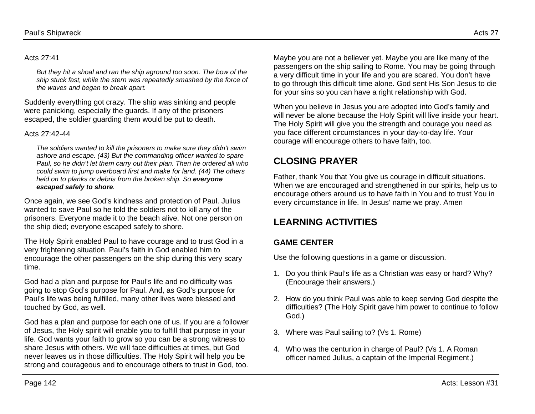### Acts 27:41

*But they hit a shoal and ran the ship aground too soon. The bow of the ship stuck fast, while the stern was repeatedly smashed by the force of the waves and began to break apart.*

Suddenly everything got crazy. The ship was sinking and people were panicking, especially the guards. If any of the prisoners escaped, the soldier guarding them would be put to death.

### Acts  $27:42-44$

*The soldiers wanted to kill the prisoners to make sure they didn't swim ashore and escape. (43) But the commanding officer wanted to spare Paul, so he didn't let them carry out their plan. Then he ordered all who could swim to jump overboard first and make for land. (44) The others held on to planks or debris from the broken ship. So everyone escaped safely to shore.*

Once again, we see God's kindness and protection of Paul. Julius wanted to save Paul so he told the soldiers not to kill any of the prisoners. Everyone made it to the beach alive. Not one person on the ship died; everyone escaped safely to shore.

The Holy Spirit enabled Paul to have courage and to trust God in a very frightening situation. Paul's faith in God enabled him to encourage the other passengers on the ship during this very scary time.

God had a plan and purpose for Paul's life and no difficulty was going to stop God's purpose for Paul. And, as God's purpose for Paul's life was being fulfilled, many other lives were blessed and touched by God, as well.

God has a plan and purpose for each one of us. If you are a follower of Jesus, the Holy spirit will enable you to fulfill that purpose in your life. God wants your faith to grow so you can be a strong witness to share Jesus with others. We will face difficulties at times, but God never leaves us in those difficulties. The Holy Spirit will help you be strong and courageous and to encourage others to trust in God, too. Maybe you are not a believer yet. Maybe you are like many of the passengers on the ship sailing to Rome. You may be going through a very difficult time in your life and you are scared. You don't have to go through this difficult time alone. God sent His Son Jesus to die for your sins so you can have a right relationship with God.

When you believe in Jesus you are adopted into God's family and will never be alone because the Holy Spirit will live inside your heart. The Holy Spirit will give you the strength and courage you need as you face different circumstances in your day-to-day life. Your courage will encourage others to have faith, too.

## **CLOSING PRAYER**

Father, thank You that You give us courage in difficult situations. When we are encouraged and strengthened in our spirits, help us to encourage others around us to have faith in You and to trust You in every circumstance in life. In Jesus' name we pray. Amen

## **LEARNING ACTIVITIES**

## **GAME CENTER**

Use the following questions in a game or discussion.

- 1. Do you think Paul's life as a Christian was easy or hard? Why? (Encourage their answers.)
- 2. How do you think Paul was able to keep serving God despite the difficulties? (The Holy Spirit gave him power to continue to follow God.)
- 3. Where was Paul sailing to? (Vs 1. Rome)
- 4. Who was the centurion in charge of Paul? (Vs 1. A Roman officer named Julius, a captain of the Imperial Regiment.)